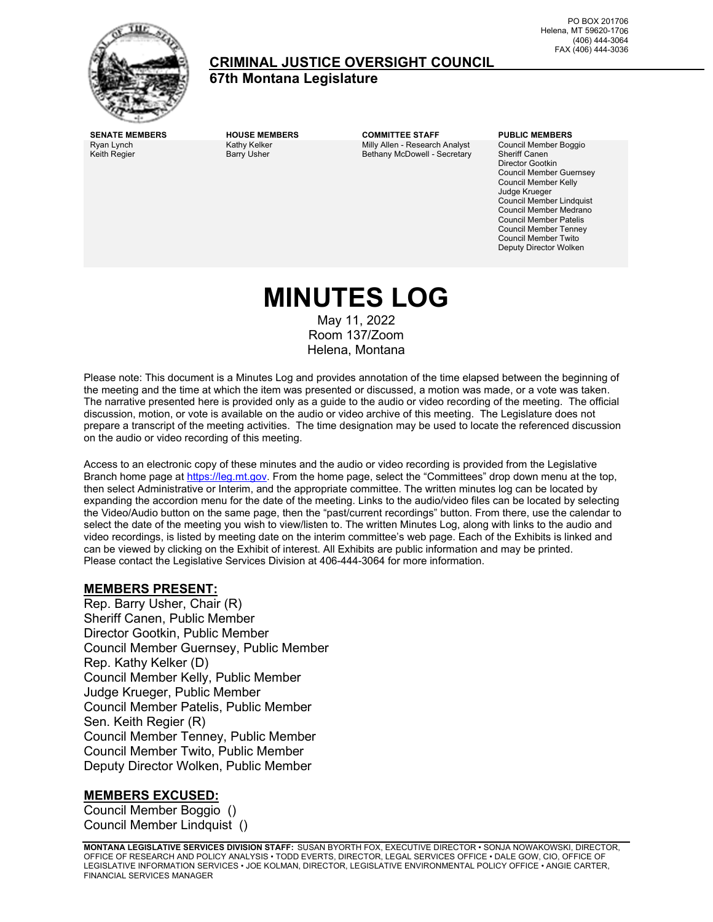

## **CRIMINAL JUSTICE OVERSIGHT COUNCIL**

**67th Montana Legislature**

Ryan Lynch Keith Regier

Kathy Kelker Barry Usher

**SENATE MEMBERS HOUSE MEMBERS COMMITTEE STAFF PUBLIC MEMBERS** Milly Allen - Research Analyst Bethany McDowell - Secretary

Council Member Boggio Sheriff Canen Director Gootkin Council Member Guernsey Council Member Kelly Judge Krueger Council Member Lindquist Council Member Medrano Council Member Patelis Council Member Tenney Council Member Twito Deputy Director Wolken

# **MINUTES LOG**

May 11, 2022 Room 137/Zoom Helena, Montana

Please note: This document is a Minutes Log and provides annotation of the time elapsed between the beginning of the meeting and the time at which the item was presented or discussed, a motion was made, or a vote was taken. The narrative presented here is provided only as a guide to the audio or video recording of the meeting. The official discussion, motion, or vote is available on the audio or video archive of this meeting. The Legislature does not prepare a transcript of the meeting activities. The time designation may be used to locate the referenced discussion on the audio or video recording of this meeting.

Access to an electronic copy of these minutes and the audio or video recording is provided from the Legislative Branch home page a[t https://leg.mt.gov.](http://legmt.gov/) From the home page, select the "Committees" drop down menu at the top, then select Administrative or Interim, and the appropriate committee. The written minutes log can be located by expanding the accordion menu for the date of the meeting. Links to the audio/video files can be located by selecting the Video/Audio button on the same page, then the "past/current recordings" button. From there, use the calendar to select the date of the meeting you wish to view/listen to. The written Minutes Log, along with links to the audio and video recordings, is listed by meeting date on the interim committee's web page. Each of the Exhibits is linked and can be viewed by clicking on the Exhibit of interest. All Exhibits are public information and may be printed. Please contact the Legislative Services Division at 406-444-3064 for more information.

### **MEMBERS PRESENT:**

Rep. Barry Usher, Chair (R) Sheriff Canen, Public Member Director Gootkin, Public Member Council Member Guernsey, Public Member Rep. Kathy Kelker (D) Council Member Kelly, Public Member Judge Krueger, Public Member Council Member Patelis, Public Member Sen. Keith Regier (R) Council Member Tenney, Public Member Council Member Twito, Public Member Deputy Director Wolken, Public Member

### **MEMBERS EXCUSED:**

Council Member Boggio () Council Member Lindquist ()

**MONTANA LEGISLATIVE SERVICES DIVISION STAFF:** SUSAN BYORTH FOX, EXECUTIVE DIRECTOR • SONJA NOWAKOWSKI, DIRECTOR, OFFICE OF RESEARCH AND POLICY ANALYSIS • TODD EVERTS, DIRECTOR, LEGAL SERVICES OFFICE • DALE GOW, CIO, OFFICE OF LEGISLATIVE INFORMATION SERVICES • JOE KOLMAN, DIRECTOR, LEGISLATIVE ENVIRONMENTAL POLICY OFFICE • ANGIE CARTER, FINANCIAL SERVICES MANAGER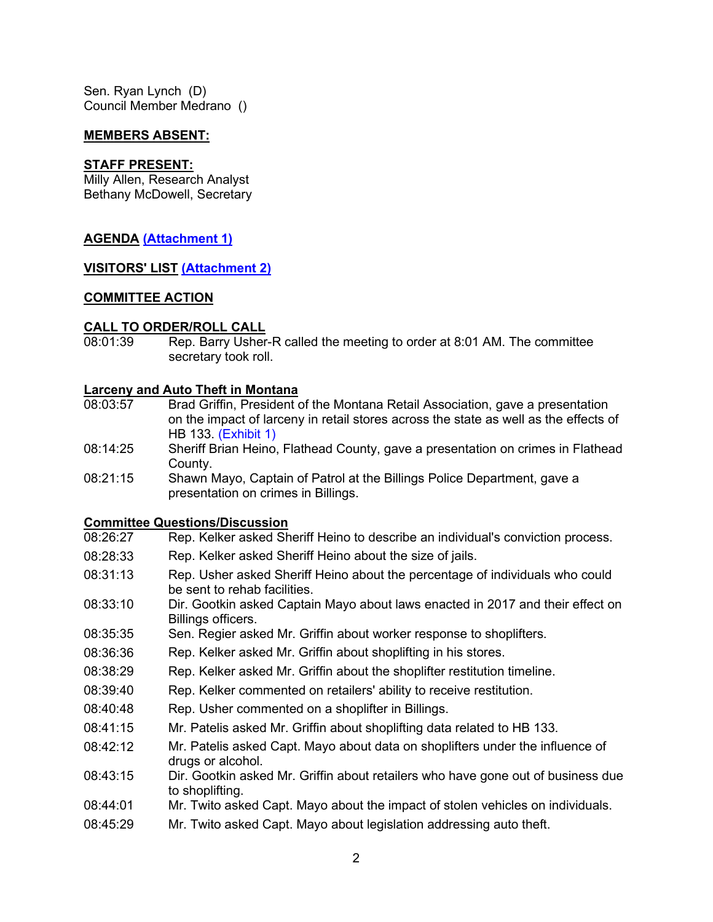Sen. Ryan Lynch (D) Council Member Medrano ()

### **MEMBERS ABSENT:**

### **STAFF PRESENT:**

Milly Allen, Research Analyst Bethany McDowell, Secretary

### **AGENDA [\(Attachment 1\)](https://leg.mt.gov/content/Committees/Interim/2021-2022/Criminal-Justice-Oversight-Council/Meetings/may-2022/cjoc-agenda-may-11-2022-UPDATED-may-10-2022.pdf)**

### **VISITORS' LIST [\(Attachment 2\)](https://leg.mt.gov/content/Committees/Interim/2021-2022/Criminal-Justice-Oversight-Council/Meetings/may-2022/cjoc-may-11-2022-visitor-list.pdf)**

### **COMMITTEE ACTION**

### **CALL TO ORDER/ROLL CALL**

08:01:39 Rep. Barry Usher-R called the meeting to order at 8:01 AM. The committee secretary took roll.

### **Larceny and Auto Theft in Montana**

- 08:03:57 Brad Griffin, President of the Montana Retail Association, gave a presentation on the impact of larceny in retail stores across the state as well as the effects of HB 133. [\(Exhibit 1\)](https://leg.mt.gov/content/Committees/Interim/2021-2022/Criminal-Justice-Oversight-Council/Meetings/may-2022/cjoc-may-11-2022-inform-consumers-act-ex1.pdf)
- 08:14:25 Sheriff Brian Heino, Flathead County, gave a presentation on crimes in Flathead County.
- 08:21:15 Shawn Mayo, Captain of Patrol at the Billings Police Department, gave a presentation on crimes in Billings.

## **Committee Questions/Discussion**

- Rep. Kelker asked Sheriff Heino to describe an individual's conviction process.
- 08:28:33 Rep. Kelker asked Sheriff Heino about the size of jails.
- 08:31:13 Rep. Usher asked Sheriff Heino about the percentage of individuals who could be sent to rehab facilities.
- 08:33:10 Dir. Gootkin asked Captain Mayo about laws enacted in 2017 and their effect on Billings officers.
- 08:35:35 Sen. Regier asked Mr. Griffin about worker response to shoplifters.
- 08:36:36 Rep. Kelker asked Mr. Griffin about shoplifting in his stores.
- 08:38:29 Rep. Kelker asked Mr. Griffin about the shoplifter restitution timeline.
- 08:39:40 Rep. Kelker commented on retailers' ability to receive restitution.
- 08:40:48 Rep. Usher commented on a shoplifter in Billings.
- 08:41:15 Mr. Patelis asked Mr. Griffin about shoplifting data related to HB 133.
- 08:42:12 Mr. Patelis asked Capt. Mayo about data on shoplifters under the influence of drugs or alcohol.
- 08:43:15 Dir. Gootkin asked Mr. Griffin about retailers who have gone out of business due to shoplifting.
- 08:44:01 Mr. Twito asked Capt. Mayo about the impact of stolen vehicles on individuals.
- 08:45:29 Mr. Twito asked Capt. Mayo about legislation addressing auto theft.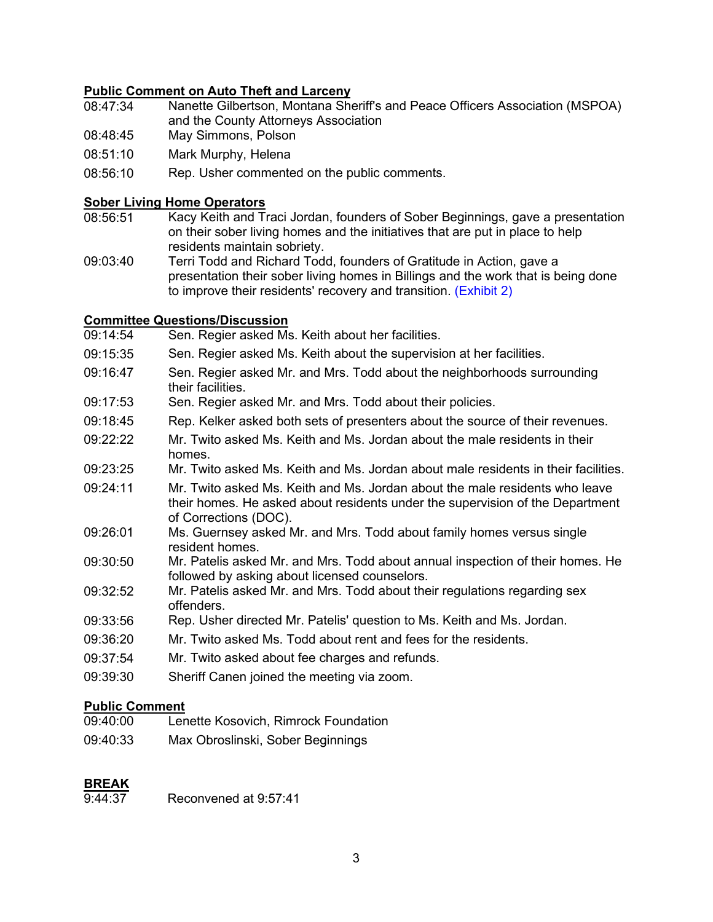## **Public Comment on Auto Theft and Larceny**

- Nanette Gilbertson, Montana Sheriff's and Peace Officers Association (MSPOA) and the County Attorneys Association
- 08:48:45 May Simmons, Polson
- 08:51:10 Mark Murphy, Helena
- 08:56:10 Rep. Usher commented on the public comments.

### **Sober Living Home Operators**

- 08:56:51 Kacy Keith and Traci Jordan, founders of Sober Beginnings, gave a presentation on their sober living homes and the initiatives that are put in place to help residents maintain sobriety.
- 09:03:40 Terri Todd and Richard Todd, founders of Gratitude in Action, gave a presentation their sober living homes in Billings and the work that is being done to improve their residents' recovery and transition. [\(Exhibit 2\)](https://leg.mt.gov/content/Committees/Interim/2021-2022/Criminal-Justice-Oversight-Council/Meetings/may-2022/cjoc-may-11-2022-soberlivinghomes-exhibit-binder.pdf)

## **Committee Questions/Discussion**<br>09:14:54 Sen, Regier asked Ms

- Sen. Regier asked Ms. Keith about her facilities.
- 09:15:35 Sen. Regier asked Ms. Keith about the supervision at her facilities.
- 09:16:47 Sen. Regier asked Mr. and Mrs. Todd about the neighborhoods surrounding their facilities.
- 09:17:53 Sen. Regier asked Mr. and Mrs. Todd about their policies.
- 09:18:45 Rep. Kelker asked both sets of presenters about the source of their revenues.
- 09:22:22 Mr. Twito asked Ms. Keith and Ms. Jordan about the male residents in their homes.
- 09:23:25 Mr. Twito asked Ms. Keith and Ms. Jordan about male residents in their facilities.
- 09:24:11 Mr. Twito asked Ms. Keith and Ms. Jordan about the male residents who leave their homes. He asked about residents under the supervision of the Department of Corrections (DOC).
- 09:26:01 Ms. Guernsey asked Mr. and Mrs. Todd about family homes versus single resident homes.
- 09:30:50 Mr. Patelis asked Mr. and Mrs. Todd about annual inspection of their homes. He followed by asking about licensed counselors.
- 09:32:52 Mr. Patelis asked Mr. and Mrs. Todd about their regulations regarding sex offenders.
- 09:33:56 Rep. Usher directed Mr. Patelis' question to Ms. Keith and Ms. Jordan.
- 09:36:20 Mr. Twito asked Ms. Todd about rent and fees for the residents.
- 09:37:54 Mr. Twito asked about fee charges and refunds.
- 09:39:30 Sheriff Canen joined the meeting via zoom.

## **Public Comment**

- Lenette Kosovich, Rimrock Foundation
- 09:40:33 Max Obroslinski, Sober Beginnings

## **BREAK**<br>9:44:37

Reconvened at 9:57:41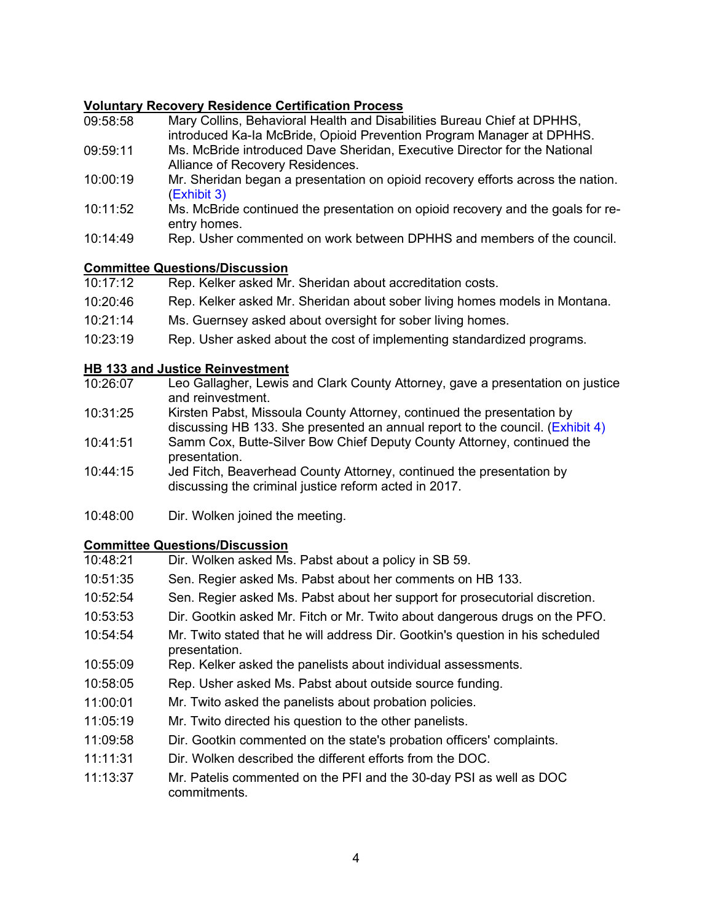## **Voluntary Recovery Residence Certification Process**

- 09:58:58 Mary Collins, Behavioral Health and Disabilities Bureau Chief at DPHHS, introduced Ka-Ia McBride, Opioid Prevention Program Manager at DPHHS.
- 09:59:11 Ms. McBride introduced Dave Sheridan, Executive Director for the National Alliance of Recovery Residences.
- 10:00:19 Mr. Sheridan began a presentation on opioid recovery efforts across the nation. [\(Exhibit 3\)](https://leg.mt.gov/content/Committees/Interim/2021-2022/Criminal-Justice-Oversight-Council/Meetings/may-2022/cjoc-may-11-2022-recover-residence-certification.pdf)
- 10:11:52 Ms. McBride continued the presentation on opioid recovery and the goals for reentry homes.
- 10:14:49 Rep. Usher commented on work between DPHHS and members of the council.

## **Committee Questions/Discussion**

| 10:17:12 | Rep. Kelker asked Mr. Sheridan about accreditation costs.                  |
|----------|----------------------------------------------------------------------------|
| 10:20:46 | Rep. Kelker asked Mr. Sheridan about sober living homes models in Montana. |
| 10:21:14 | Ms. Guernsey asked about oversight for sober living homes.                 |
| 10:23:19 | Rep. Usher asked about the cost of implementing standardized programs.     |

## **HB 133 and Justice Reinvestment**

- 10:26:07 Leo Gallagher, Lewis and Clark County Attorney, gave a presentation on justice and reinvestment.
- 10:31:25 Kirsten Pabst, Missoula County Attorney, continued the presentation by discussing HB 133. She presented an annual report to the council. [\(Exhibit](https://leg.mt.gov/content/Committees/Interim/2021-2022/Criminal-Justice-Oversight-Council/Meetings/may-2022/cjoc-may-11-2022-pabst-county-attorney-annual-report.pdf) 4)
- 10:41:51 Samm Cox, Butte-Silver Bow Chief Deputy County Attorney, continued the presentation.
- 10:44:15 Jed Fitch, Beaverhead County Attorney, continued the presentation by discussing the criminal justice reform acted in 2017.
- 10:48:00 Dir. Wolken joined the meeting.

## **Committee Questions/Discussion**

| 10:48:21 | Dir. Wolken asked Ms. Pabst about a policy in SB 59.                                            |
|----------|-------------------------------------------------------------------------------------------------|
| 10:51:35 | Sen. Regier asked Ms. Pabst about her comments on HB 133.                                       |
| 10:52:54 | Sen. Regier asked Ms. Pabst about her support for prosecutorial discretion.                     |
| 10:53:53 | Dir. Gootkin asked Mr. Fitch or Mr. Twito about dangerous drugs on the PFO.                     |
| 10:54:54 | Mr. Twito stated that he will address Dir. Gootkin's question in his scheduled<br>presentation. |
| 10:55:09 | Rep. Kelker asked the panelists about individual assessments.                                   |
| 10:58:05 | Rep. Usher asked Ms. Pabst about outside source funding.                                        |
| 11:00:01 | Mr. Twito asked the panelists about probation policies.                                         |
| 11:05:19 | Mr. Twito directed his question to the other panelists.                                         |
| 11:09:58 | Dir. Gootkin commented on the state's probation officers' complaints.                           |
| 11:11:31 | Dir. Wolken described the different efforts from the DOC.                                       |
| 11:13:37 | Mr. Patelis commented on the PFI and the 30-day PSI as well as DOC<br>commitments.              |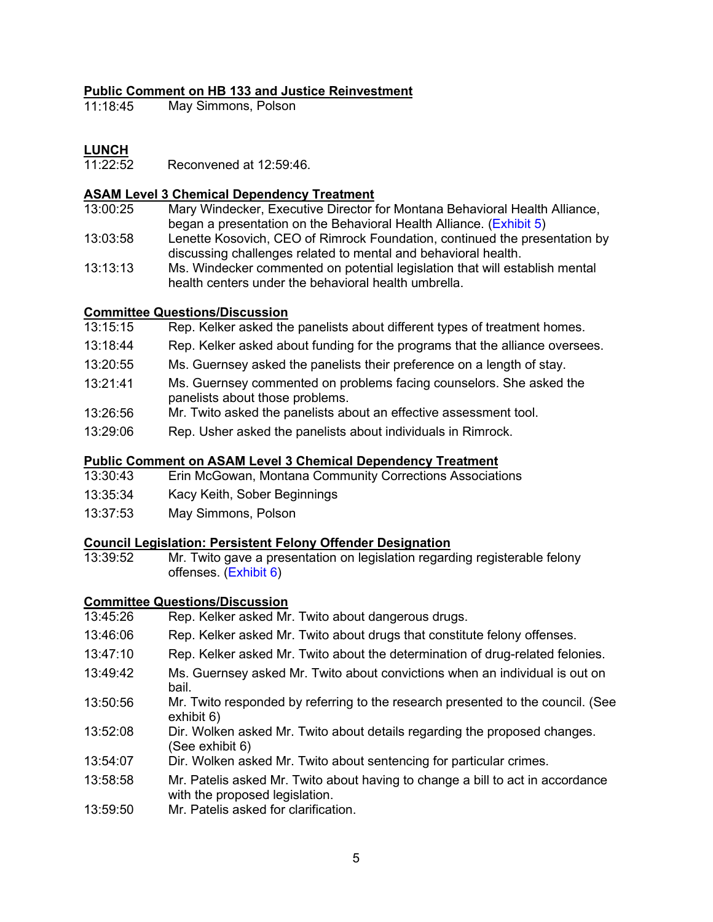# **Public Comment on HB 133 and Justice Reinvestment**

May Simmons, Polson

**LUNCH**<br>11:22:52 Reconvened at 12:59:46.

## **ASAM Level 3 Chemical Dependency Treatment**

- 13:00:25 Mary Windecker, Executive Director for Montana Behavioral Health Alliance, began a presentation on the Behavioral Health Alliance. [\(Exhibit](https://leg.mt.gov/content/Committees/Interim/2021-2022/Criminal-Justice-Oversight-Council/Meetings/may-2022/cjoc-may-11-2022-BHA-Montana.pdf) 5)
- 13:03:58 Lenette Kosovich, CEO of Rimrock Foundation, continued the presentation by discussing challenges related to mental and behavioral health.
- 13:13:13 Ms. Windecker commented on potential legislation that will establish mental health centers under the behavioral health umbrella.

# **Committee Questions/Discussion**<br>13:15:15 Rep. Kelker asked the

- Rep. Kelker asked the panelists about different types of treatment homes.
- 13:18:44 Rep. Kelker asked about funding for the programs that the alliance oversees.
- 13:20:55 Ms. Guernsey asked the panelists their preference on a length of stay.
- 13:21:41 Ms. Guernsey commented on problems facing counselors. She asked the panelists about those problems.
- 13:26:56 Mr. Twito asked the panelists about an effective assessment tool.
- 13:29:06 Rep. Usher asked the panelists about individuals in Rimrock.

## **Public Comment on ASAM Level 3 Chemical Dependency Treatment**

- Erin McGowan, Montana Community Corrections Associations
- 13:35:34 Kacy Keith, Sober Beginnings
- 13:37:53 May Simmons, Polson

# **Council Legislation: Persistent Felony Offender Designation**

Mr. Twito gave a presentation on legislation regarding registerable felony offenses. [\(Exhibit](https://leg.mt.gov/content/Committees/Interim/2021-2022/Criminal-Justice-Oversight-Council/Meetings/may-2022/cjoc-may-11-2022-persistent-felony-charges.pdf) 6)

# **Committee Questions/Discussion**<br>13:45:26 Rep. Kelker asked Mr

- Rep. Kelker asked Mr. Twito about dangerous drugs.
- 13:46:06 Rep. Kelker asked Mr. Twito about drugs that constitute felony offenses.
- 13:47:10 Rep. Kelker asked Mr. Twito about the determination of drug-related felonies.
- 13:49:42 Ms. Guernsey asked Mr. Twito about convictions when an individual is out on bail.
- 13:50:56 Mr. Twito responded by referring to the research presented to the council. (See exhibit 6)
- 13:52:08 Dir. Wolken asked Mr. Twito about details regarding the proposed changes. (See exhibit 6)
- 13:54:07 Dir. Wolken asked Mr. Twito about sentencing for particular crimes.
- 13:58:58 Mr. Patelis asked Mr. Twito about having to change a bill to act in accordance with the proposed legislation.
- 13:59:50 Mr. Patelis asked for clarification.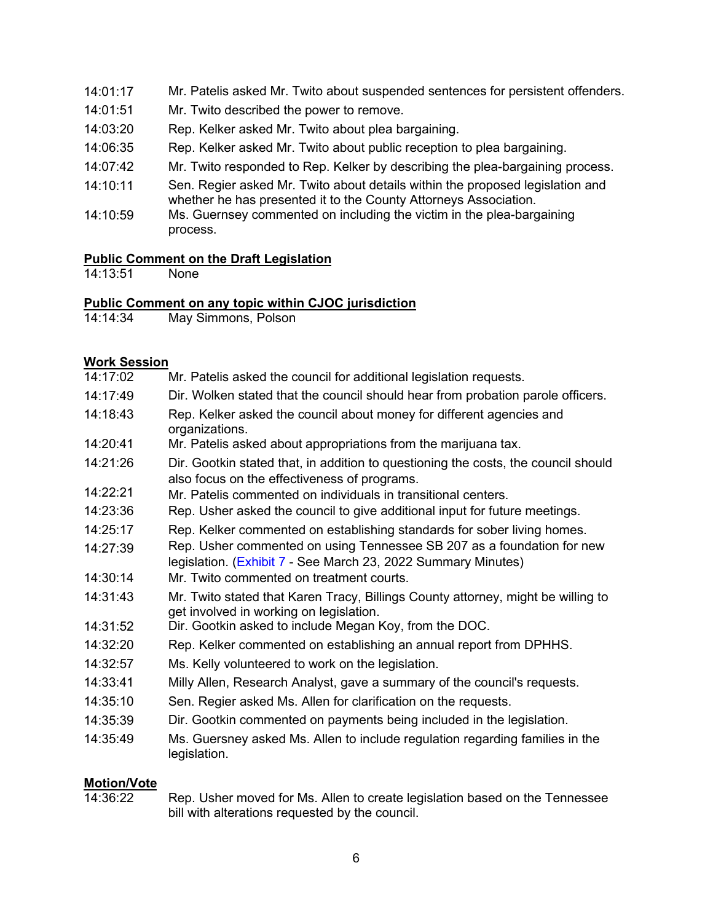- 14:01:17 Mr. Patelis asked Mr. Twito about suspended sentences for persistent offenders.
- 14:01:51 Mr. Twito described the power to remove.
- 14:03:20 Rep. Kelker asked Mr. Twito about plea bargaining.
- 14:06:35 Rep. Kelker asked Mr. Twito about public reception to plea bargaining.
- 14:07:42 Mr. Twito responded to Rep. Kelker by describing the plea-bargaining process.
- 14:10:11 Sen. Regier asked Mr. Twito about details within the proposed legislation and whether he has presented it to the County Attorneys Association.
- 14:10:59 Ms. Guernsey commented on including the victim in the plea-bargaining process.

### **Public Comment on the Draft Legislation**

14:13:51 None

# **Public Comment on any topic within CJOC jurisdiction**<br>14:14:34 May Simmons, Polson

May Simmons, Polson

### **Work Session**

| .        |                                                                                                                                         |
|----------|-----------------------------------------------------------------------------------------------------------------------------------------|
| 14:17:02 | Mr. Patelis asked the council for additional legislation requests.                                                                      |
| 14:17:49 | Dir. Wolken stated that the council should hear from probation parole officers.                                                         |
| 14:18:43 | Rep. Kelker asked the council about money for different agencies and<br>organizations.                                                  |
| 14:20:41 | Mr. Patelis asked about appropriations from the marijuana tax.                                                                          |
| 14:21:26 | Dir. Gootkin stated that, in addition to questioning the costs, the council should<br>also focus on the effectiveness of programs.      |
| 14:22:21 | Mr. Patelis commented on individuals in transitional centers.                                                                           |
| 14:23:36 | Rep. Usher asked the council to give additional input for future meetings.                                                              |
| 14:25:17 | Rep. Kelker commented on establishing standards for sober living homes.                                                                 |
| 14:27:39 | Rep. Usher commented on using Tennessee SB 207 as a foundation for new<br>legislation. (Exhibit 7 - See March 23, 2022 Summary Minutes) |
| 14:30:14 | Mr. Twito commented on treatment courts.                                                                                                |
| 14:31:43 | Mr. Twito stated that Karen Tracy, Billings County attorney, might be willing to<br>get involved in working on legislation.             |
| 14:31:52 | Dir. Gootkin asked to include Megan Koy, from the DOC.                                                                                  |
| 14:32:20 | Rep. Kelker commented on establishing an annual report from DPHHS.                                                                      |
| 14:32:57 | Ms. Kelly volunteered to work on the legislation.                                                                                       |
| 14:33:41 | Milly Allen, Research Analyst, gave a summary of the council's requests.                                                                |
| 14:35:10 | Sen. Regier asked Ms. Allen for clarification on the requests.                                                                          |
| 14:35:39 | Dir. Gootkin commented on payments being included in the legislation.                                                                   |
| 14:35:49 | Ms. Guersney asked Ms. Allen to include regulation regarding families in the<br>legislation.                                            |
|          |                                                                                                                                         |

### **Motion/Vote**

14:36:22 Rep. Usher moved for Ms. Allen to create legislation based on the Tennessee bill with alterations requested by the council.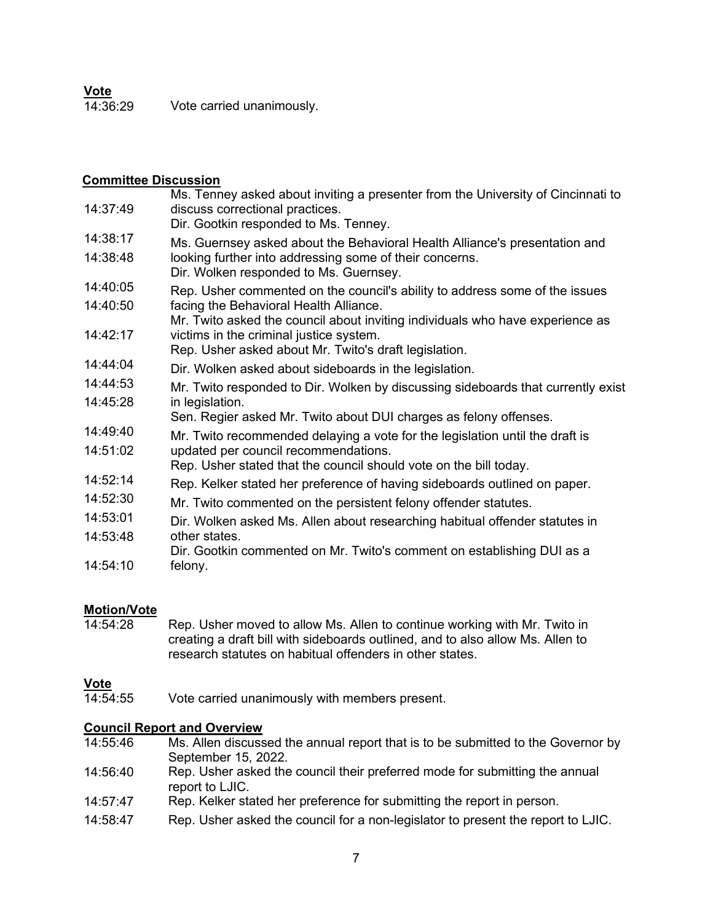**<u>Vote</u><br>14:36:29** Vote carried unanimously.

### **Committee Discussion**

| 14:37:49 | Ms. Tenney asked about inviting a presenter from the University of Cincinnati to<br>discuss correctional practices.<br>Dir. Gootkin responded to Ms. Tenney. |
|----------|--------------------------------------------------------------------------------------------------------------------------------------------------------------|
| 14:38:17 | Ms. Guernsey asked about the Behavioral Health Alliance's presentation and                                                                                   |
| 14:38:48 | looking further into addressing some of their concerns.<br>Dir. Wolken responded to Ms. Guernsey.                                                            |
| 14:40:05 | Rep. Usher commented on the council's ability to address some of the issues                                                                                  |
| 14:40:50 | facing the Behavioral Health Alliance.                                                                                                                       |
|          | Mr. Twito asked the council about inviting individuals who have experience as                                                                                |
| 14:42:17 | victims in the criminal justice system.<br>Rep. Usher asked about Mr. Twito's draft legislation.                                                             |
| 14:44:04 | Dir. Wolken asked about sideboards in the legislation.                                                                                                       |
| 14:44:53 | Mr. Twito responded to Dir. Wolken by discussing sideboards that currently exist                                                                             |
| 14:45:28 | in legislation.                                                                                                                                              |
|          | Sen. Regier asked Mr. Twito about DUI charges as felony offenses.                                                                                            |
| 14:49:40 | Mr. Twito recommended delaying a vote for the legislation until the draft is                                                                                 |
| 14:51:02 | updated per council recommendations.                                                                                                                         |
|          | Rep. Usher stated that the council should vote on the bill today.                                                                                            |
| 14:52:14 | Rep. Kelker stated her preference of having sideboards outlined on paper.                                                                                    |
| 14:52:30 | Mr. Twito commented on the persistent felony offender statutes.                                                                                              |
| 14:53:01 | Dir. Wolken asked Ms. Allen about researching habitual offender statutes in                                                                                  |
| 14:53:48 | other states.                                                                                                                                                |
|          | Dir. Gootkin commented on Mr. Twito's comment on establishing DUI as a                                                                                       |
| 14:54:10 | felony.                                                                                                                                                      |
|          |                                                                                                                                                              |

# **Motion/Vote**<br>14:54:28

Rep. Usher moved to allow Ms. Allen to continue working with Mr. Twito in creating a draft bill with sideboards outlined, and to also allow Ms. Allen to research statutes on habitual offenders in other states.

**Vote**<br>14:54:55 Vote carried unanimously with members present.

# **Council Report and Overview**<br>14:55:46 Ms. Allen discuss

- Ms. Allen discussed the annual report that is to be submitted to the Governor by September 15, 2022.
- 14:56:40 Rep. Usher asked the council their preferred mode for submitting the annual report to LJIC.
- 14:57:47 Rep. Kelker stated her preference for submitting the report in person.
- 14:58:47 Rep. Usher asked the council for a non-legislator to present the report to LJIC.